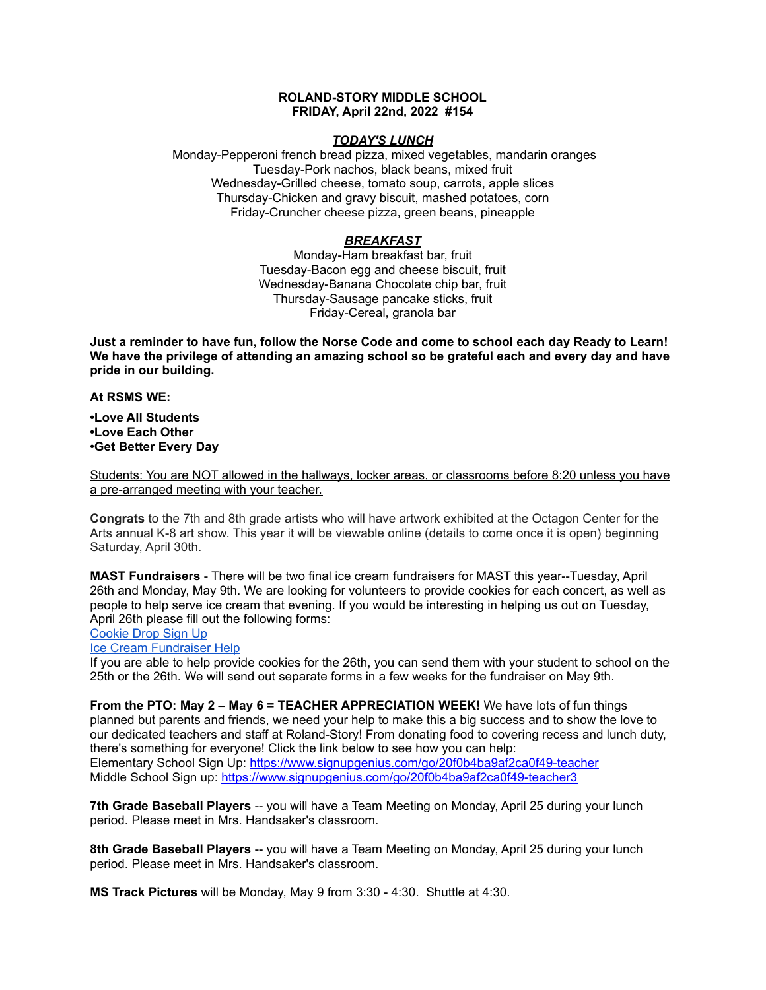### **ROLAND-STORY MIDDLE SCHOOL FRIDAY, April 22nd, 2022 #154**

### *TODAY'S LUNCH*

Monday-Pepperoni french bread pizza, mixed vegetables, mandarin oranges Tuesday-Pork nachos, black beans, mixed fruit Wednesday-Grilled cheese, tomato soup, carrots, apple slices Thursday-Chicken and gravy biscuit, mashed potatoes, corn Friday-Cruncher cheese pizza, green beans, pineapple

### *BREAKFAST*

Monday-Ham breakfast bar, fruit Tuesday-Bacon egg and cheese biscuit, fruit Wednesday-Banana Chocolate chip bar, fruit Thursday-Sausage pancake sticks, fruit Friday-Cereal, granola bar

Just a reminder to have fun, follow the Norse Code and come to school each day Ready to Learn! **We have the privilege of attending an amazing school so be grateful each and every day and have pride in our building.**

**At RSMS WE:**

**•Love All Students •Love Each Other •Get Better Every Day**

Students: You are NOT allowed in the hallways, locker areas, or classrooms before 8:20 unless you have a pre-arranged meeting with your teacher.

**Congrats** to the 7th and 8th grade artists who will have artwork exhibited at the Octagon Center for the Arts annual K-8 art show. This year it will be viewable online (details to come once it is open) beginning Saturday, April 30th.

**MAST Fundraisers** - There will be two final ice cream fundraisers for MAST this year--Tuesday, April 26th and Monday, May 9th. We are looking for volunteers to provide cookies for each concert, as well as people to help serve ice cream that evening. If you would be interesting in helping us out on Tuesday, April 26th please fill out the following forms:

# [Cookie](https://www.signupgenius.com/go/4090c45acac2ba31-rsmast2) Drop Sign Up

Ice Cream [Fundraiser](https://www.signupgenius.com/go/4090c45acac2ba31-rsmast3) Help

If you are able to help provide cookies for the 26th, you can send them with your student to school on the 25th or the 26th. We will send out separate forms in a few weeks for the fundraiser on May 9th.

**From the PTO: May 2 – May 6 = TEACHER APPRECIATION WEEK!** We have lots of fun things planned but parents and friends, we need your help to make this a big success and to show the love to our dedicated teachers and staff at Roland-Story! From donating food to covering recess and lunch duty, there's something for everyone! Click the link below to see how you can help: Elementary School Sign Up: <https://www.signupgenius.com/go/20f0b4ba9af2ca0f49-teacher> Middle School Sign up: <https://www.signupgenius.com/go/20f0b4ba9af2ca0f49-teacher3>

**7th Grade Baseball Players** -- you will have a Team Meeting on Monday, April 25 during your lunch period. Please meet in Mrs. Handsaker's classroom.

**8th Grade Baseball Players** -- you will have a Team Meeting on Monday, April 25 during your lunch period. Please meet in Mrs. Handsaker's classroom.

**MS Track Pictures** will be Monday, May 9 from 3:30 - 4:30. Shuttle at 4:30.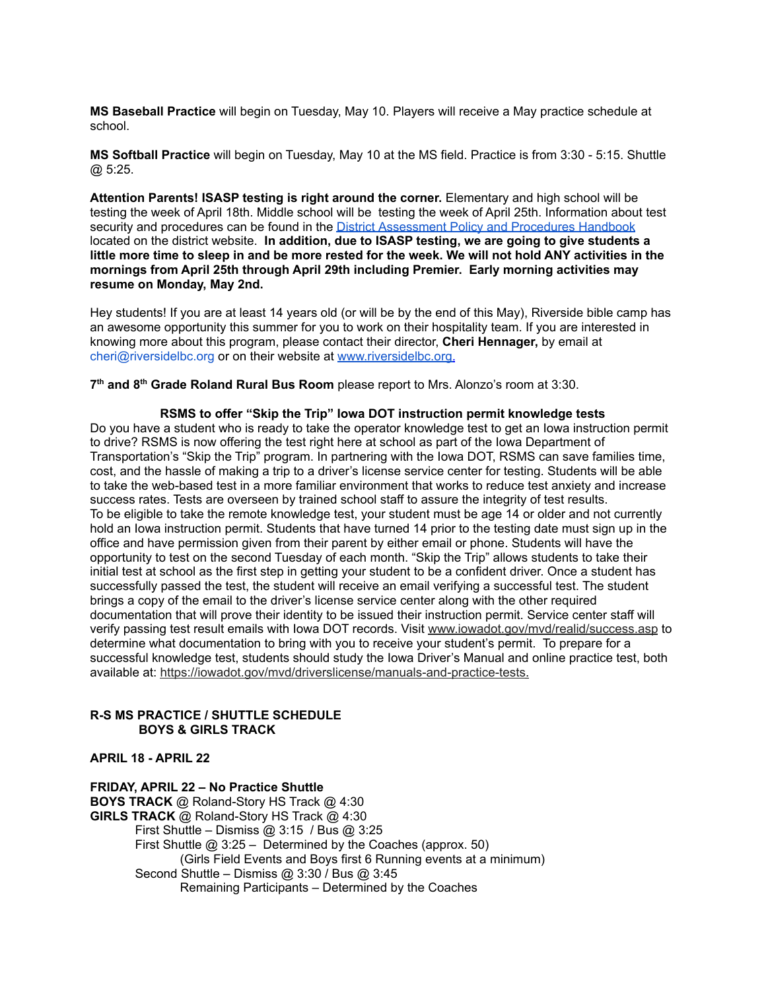**MS Baseball Practice** will begin on Tuesday, May 10. Players will receive a May practice schedule at school.

**MS Softball Practice** will begin on Tuesday, May 10 at the MS field. Practice is from 3:30 - 5:15. Shuttle @ 5:25.

**Attention Parents! ISASP testing is right around the corner.** Elementary and high school will be testing the week of April 18th. Middle school will be testing the week of April 25th. Information about test security and procedures can be found in the District [Assessment](https://rolandstory.school/media/Michelle%20Soderstrum/RSCSD_District_Assessment_Poli%20-%20Copy%203.pdf) Policy and Procedures Handbook located on the district website. **In addition, due to ISASP testing, we are going to give students a** little more time to sleep in and be more rested for the week. We will not hold ANY activities in the **mornings from April 25th through April 29th including Premier. Early morning activities may resume on Monday, May 2nd.**

Hey students! If you are at least 14 years old (or will be by the end of this May), Riverside bible camp has an awesome opportunity this summer for you to work on their hospitality team. If you are interested in knowing more about this program, please contact their director, **Cheri Hennager,** by email at cheri@riversidelbc.org or on their website at [www.riversidelbc.org.](http://www.riversidelbc.org/)

**7 th and 8 th Grade Roland Rural Bus Room** please report to Mrs. Alonzo's room at 3:30.

**RSMS to offer "Skip the Trip" Iowa DOT instruction permit knowledge tests** Do you have a student who is ready to take the operator knowledge test to get an Iowa instruction permit to drive? RSMS is now offering the test right here at school as part of the Iowa Department of Transportation's "Skip the Trip" program. In partnering with the Iowa DOT, RSMS can save families time, cost, and the hassle of making a trip to a driver's license service center for testing. Students will be able to take the web-based test in a more familiar environment that works to reduce test anxiety and increase success rates. Tests are overseen by trained school staff to assure the integrity of test results. To be eligible to take the remote knowledge test, your student must be age 14 or older and not currently hold an Iowa instruction permit. Students that have turned 14 prior to the testing date must sign up in the office and have permission given from their parent by either email or phone. Students will have the opportunity to test on the second Tuesday of each month. "Skip the Trip" allows students to take their initial test at school as the first step in getting your student to be a confident driver. Once a student has successfully passed the test, the student will receive an email verifying a successful test. The student brings a copy of the email to the driver's license service center along with the other required documentation that will prove their identity to be issued their instruction permit. Service center staff will verify passing test result emails with Iowa DOT records. Visit [www.iowadot.gov/mvd/realid/success.asp](http://www.iowadot.gov/mvd/realid/success.asp) to determine what documentation to bring with you to receive your student's permit. To prepare for a successful knowledge test, students should study the Iowa Driver's Manual and online practice test, both available at: <https://iowadot.gov/mvd/driverslicense/manuals-and-practice-tests>.

## **R-S MS PRACTICE / SHUTTLE SCHEDULE BOYS & GIRLS TRACK**

**APRIL 18 - APRIL 22**

**FRIDAY, APRIL 22 – No Practice Shuttle BOYS TRACK** @ Roland-Story HS Track @ 4:30 **GIRLS TRACK** @ Roland-Story HS Track @ 4:30 First Shuttle – Dismiss @ 3:15 / Bus @ 3:25 First Shuttle @ 3:25 – Determined by the Coaches (approx. 50) (Girls Field Events and Boys first 6 Running events at a minimum) Second Shuttle – Dismiss @ 3:30 / Bus @ 3:45 Remaining Participants – Determined by the Coaches